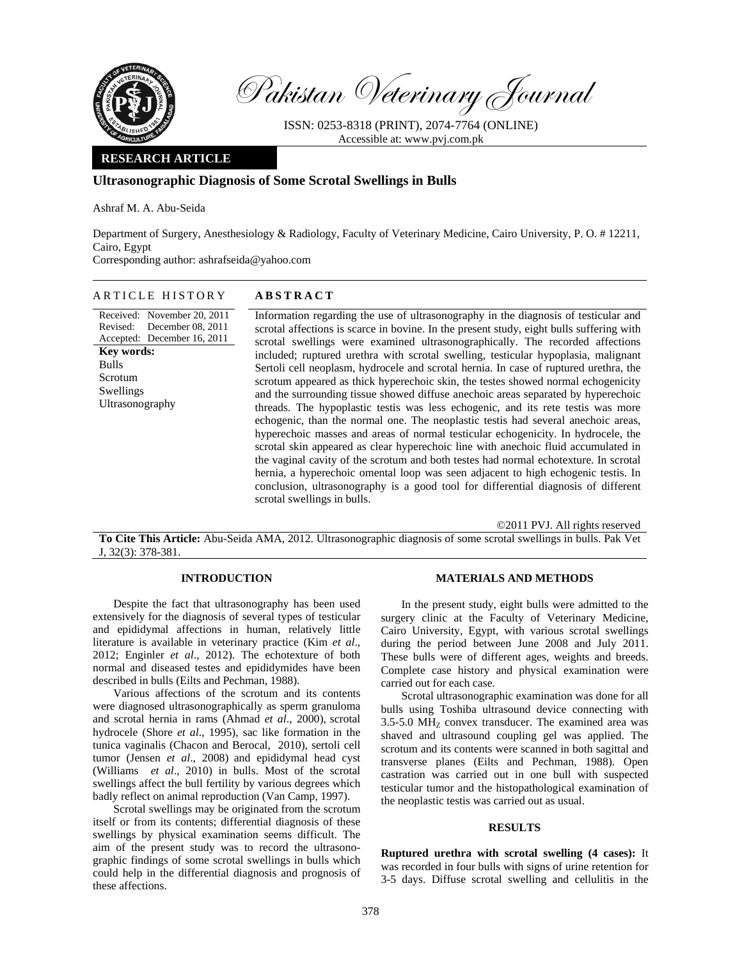

Pakistan Veterinary Journal

ISSN: 0253-8318 (PRINT), 2074-7764 (ONLINE) Accessible at: www.pvj.com.pk

# **RESEARCH ARTICLE**

# **Ultrasonographic Diagnosis of Some Scrotal Swellings in Bulls**

Ashraf M. A. Abu-Seida

Department of Surgery, Anesthesiology & Radiology, Faculty of Veterinary Medicine, Cairo University, P. O. # 12211, Cairo, Egypt

Corresponding author: ashrafseida@yahoo.com

#### ARTICLE HISTORY **ABSTRACT**

Received: November 20, 2011 Revised: December 08, 2011 Accepted: December 16, 2011 **Key words:**  Bulls Scrotum Swellings Ultrasonography

Information regarding the use of ultrasonography in the diagnosis of testicular and scrotal affections is scarce in bovine. In the present study, eight bulls suffering with scrotal swellings were examined ultrasonographically. The recorded affections included; ruptured urethra with scrotal swelling, testicular hypoplasia, malignant Sertoli cell neoplasm, hydrocele and scrotal hernia. In case of ruptured urethra, the scrotum appeared as thick hyperechoic skin, the testes showed normal echogenicity and the surrounding tissue showed diffuse anechoic areas separated by hyperechoic threads. The hypoplastic testis was less echogenic, and its rete testis was more echogenic, than the normal one. The neoplastic testis had several anechoic areas, hyperechoic masses and areas of normal testicular echogenicity. In hydrocele, the scrotal skin appeared as clear hyperechoic line with anechoic fluid accumulated in the vaginal cavity of the scrotum and both testes had normal echotexture. In scrotal hernia, a hyperechoic omental loop was seen adjacent to high echogenic testis. In conclusion, ultrasonography is a good tool for differential diagnosis of different scrotal swellings in bulls.

©2011 PVJ. All rights reserved

**To Cite This Article:** Abu-Seida AMA, 2012. Ultrasonographic diagnosis of some scrotal swellings in bulls. Pak Vet J, 32(3): 378-381.

### **INTRODUCTION**

Despite the fact that ultrasonography has been used extensively for the diagnosis of several types of testicular and epididymal affections in human, relatively little literature is available in veterinary practice (Kim *et al*., 2012; Enginler *et al*., 2012). The echotexture of both normal and diseased testes and epididymides have been described in bulls (Eilts and Pechman, 1988).

Various affections of the scrotum and its contents were diagnosed ultrasonographically as sperm granuloma and scrotal hernia in rams (Ahmad *et al*., 2000), scrotal hydrocele (Shore *et al*., 1995), sac like formation in the tunica vaginalis (Chacon and Berocal, 2010), sertoli cell tumor (Jensen *et al*., 2008) and epididymal head cyst (Williams *et al*., 2010) in bulls. Most of the scrotal swellings affect the bull fertility by various degrees which badly reflect on animal reproduction (Van Camp, 1997).

Scrotal swellings may be originated from the scrotum itself or from its contents; differential diagnosis of these swellings by physical examination seems difficult. The aim of the present study was to record the ultrasonographic findings of some scrotal swellings in bulls which could help in the differential diagnosis and prognosis of these affections.

### **MATERIALS AND METHODS**

In the present study, eight bulls were admitted to the surgery clinic at the Faculty of Veterinary Medicine, Cairo University, Egypt, with various scrotal swellings during the period between June 2008 and July 2011. These bulls were of different ages, weights and breeds. Complete case history and physical examination were carried out for each case.

Scrotal ultrasonographic examination was done for all bulls using Toshiba ultrasound device connecting with  $3.5-5.0$  MH<sub>z</sub> convex transducer. The examined area was shaved and ultrasound coupling gel was applied. The scrotum and its contents were scanned in both sagittal and transverse planes (Eilts and Pechman, 1988). Open castration was carried out in one bull with suspected testicular tumor and the histopathological examination of the neoplastic testis was carried out as usual.

#### **RESULTS**

**Ruptured urethra with scrotal swelling (4 cases):** It was recorded in four bulls with signs of urine retention for 3-5 days. Diffuse scrotal swelling and cellulitis in the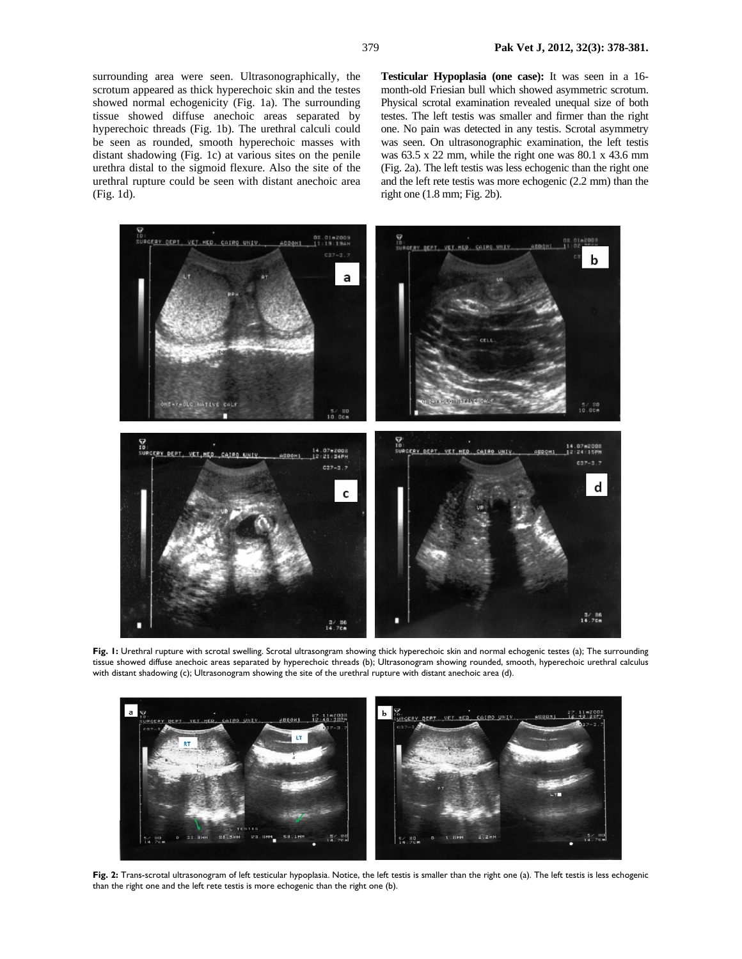surrounding area were seen. Ultrasonographically, the scrotum appeared as thick hyperechoic skin and the testes showed normal echogenicity (Fig. 1a). The surrounding tissue showed diffuse anechoic areas separated by hyperechoic threads (Fig. 1b). The urethral calculi could be seen as rounded, smooth hyperechoic masses with distant shadowing (Fig. 1c) at various sites on the penile urethra distal to the sigmoid flexure. Also the site of the urethral rupture could be seen with distant anechoic area (Fig. 1d).

**Testicular Hypoplasia (one case):** It was seen in a 16 month-old Friesian bull which showed asymmetric scrotum. Physical scrotal examination revealed unequal size of both testes. The left testis was smaller and firmer than the right one. No pain was detected in any testis. Scrotal asymmetry was seen. On ultrasonographic examination, the left testis was 63.5 x 22 mm, while the right one was 80.1 x 43.6 mm (Fig. 2a). The left testis was less echogenic than the right one and the left rete testis was more echogenic (2.2 mm) than the right one (1.8 mm; Fig. 2b).



**Fig. 1:** Urethral rupture with scrotal swelling. Scrotal ultrasongram showing thick hyperechoic skin and normal echogenic testes (a); The surrounding tissue showed diffuse anechoic areas separated by hyperechoic threads (b); Ultrasonogram showing rounded, smooth, hyperechoic urethral calculus with distant shadowing (c); Ultrasonogram showing the site of the urethral rupture with distant anechoic area (d).



**Fig. 2:** Trans-scrotal ultrasonogram of left testicular hypoplasia. Notice, the left testis is smaller than the right one (a). The left testis is less echogenic than the right one and the left rete testis is more echogenic than the right one (b).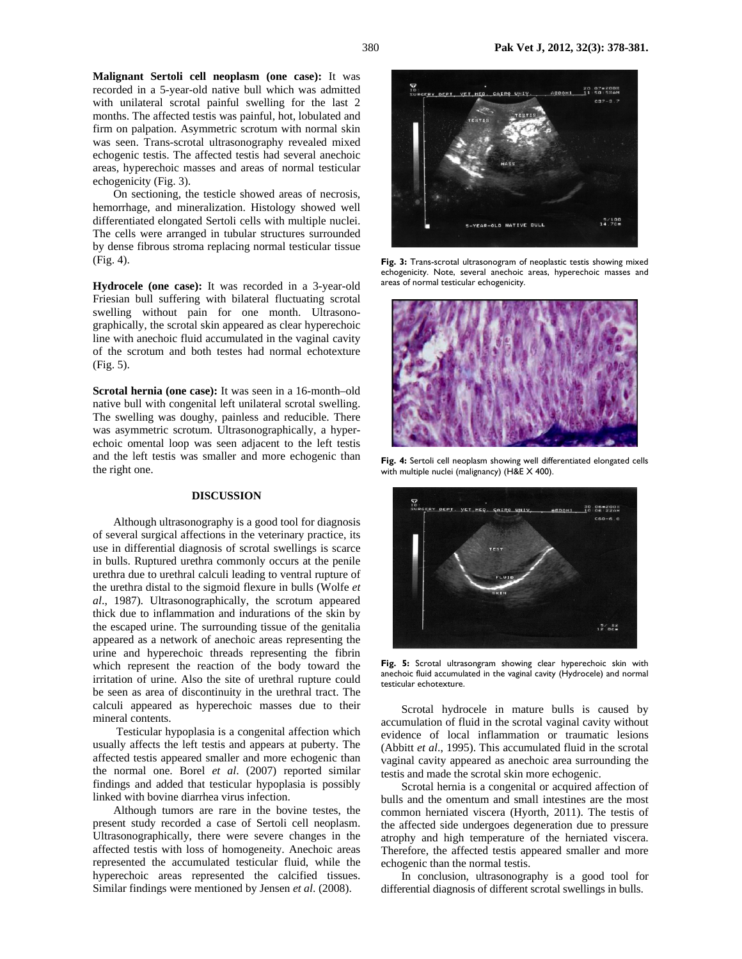**Malignant Sertoli cell neoplasm (one case):** It was recorded in a 5-year-old native bull which was admitted with unilateral scrotal painful swelling for the last 2 months. The affected testis was painful, hot, lobulated and firm on palpation. Asymmetric scrotum with normal skin was seen. Trans-scrotal ultrasonography revealed mixed echogenic testis. The affected testis had several anechoic areas, hyperechoic masses and areas of normal testicular echogenicity (Fig. 3).

On sectioning, the testicle showed areas of necrosis, hemorrhage, and mineralization. Histology showed well differentiated elongated Sertoli cells with multiple nuclei. The cells were arranged in tubular structures surrounded by dense fibrous stroma replacing normal testicular tissue (Fig. 4).

**Hydrocele (one case):** It was recorded in a 3-year-old Friesian bull suffering with bilateral fluctuating scrotal swelling without pain for one month. Ultrasonographically, the scrotal skin appeared as clear hyperechoic line with anechoic fluid accumulated in the vaginal cavity of the scrotum and both testes had normal echotexture (Fig. 5).

**Scrotal hernia (one case):** It was seen in a 16-month–old native bull with congenital left unilateral scrotal swelling. The swelling was doughy, painless and reducible. There was asymmetric scrotum. Ultrasonographically, a hyperechoic omental loop was seen adjacent to the left testis and the left testis was smaller and more echogenic than the right one.

#### **DISCUSSION**

Although ultrasonography is a good tool for diagnosis of several surgical affections in the veterinary practice, its use in differential diagnosis of scrotal swellings is scarce in bulls. Ruptured urethra commonly occurs at the penile urethra due to urethral calculi leading to ventral rupture of the urethra distal to the sigmoid flexure in bulls (Wolfe *et al*., 1987). Ultrasonographically, the scrotum appeared thick due to inflammation and indurations of the skin by the escaped urine. The surrounding tissue of the genitalia appeared as a network of anechoic areas representing the urine and hyperechoic threads representing the fibrin which represent the reaction of the body toward the irritation of urine. Also the site of urethral rupture could be seen as area of discontinuity in the urethral tract. The calculi appeared as hyperechoic masses due to their mineral contents.

 Testicular hypoplasia is a congenital affection which usually affects the left testis and appears at puberty. The affected testis appeared smaller and more echogenic than the normal one. Borel *et al*. (2007) reported similar findings and added that testicular hypoplasia is possibly linked with bovine diarrhea virus infection.

Although tumors are rare in the bovine testes, the present study recorded a case of Sertoli cell neoplasm. Ultrasonographically, there were severe changes in the affected testis with loss of homogeneity. Anechoic areas represented the accumulated testicular fluid, while the hyperechoic areas represented the calcified tissues. Similar findings were mentioned by Jensen *et al*. (2008).



**Fig. 3:** Trans-scrotal ultrasonogram of neoplastic testis showing mixed echogenicity. Note, several anechoic areas, hyperechoic masses and areas of normal testicular echogenicity.



**Fig. 4:** Sertoli cell neoplasm showing well differentiated elongated cells with multiple nuclei (malignancy) (H&E X 400).



**Fig. 5:** Scrotal ultrasongram showing clear hyperechoic skin with anechoic fluid accumulated in the vaginal cavity (Hydrocele) and normal testicular echotexture.

Scrotal hydrocele in mature bulls is caused by accumulation of fluid in the scrotal vaginal cavity without evidence of local inflammation or traumatic lesions (Abbitt *et al*., 1995). This accumulated fluid in the scrotal vaginal cavity appeared as anechoic area surrounding the testis and made the scrotal skin more echogenic.

Scrotal hernia is a congenital or acquired affection of bulls and the omentum and small intestines are the most common herniated viscera (Hyorth, 2011). The testis of the affected side undergoes degeneration due to pressure atrophy and high temperature of the herniated viscera. Therefore, the affected testis appeared smaller and more echogenic than the normal testis.

In conclusion, ultrasonography is a good tool for differential diagnosis of different scrotal swellings in bulls.